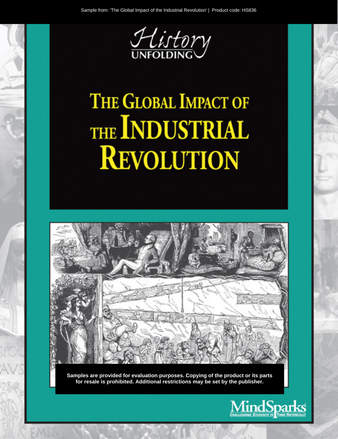

# THE GLOBAL IMPACT OF THE INDUSTRIAL **REVOLUTION**



Samples are provided for evaluation purposes. Copying of the product or its parts for resale is prohibited. Additional restrictions may be set by the publisher.

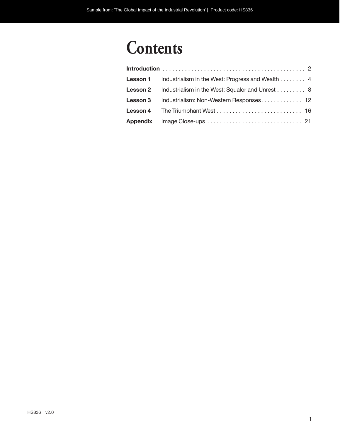## **Contents**

|                 | <b>Lesson 1</b> Industrialism in the West: Progress and Wealth 4 |
|-----------------|------------------------------------------------------------------|
|                 | <b>Lesson 2</b> Industrialism in the West: Squalor and Unrest 8  |
| <b>Lesson 3</b> | Industrialism: Non-Western Responses 12                          |
|                 |                                                                  |
|                 |                                                                  |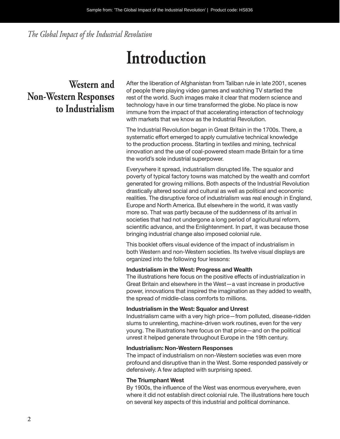*The Global Impact of the Industrial Revolution*

## **Introduction**

## **Western and Non-Western Responses to Industrialism**

After the liberation of Afghanistan from Taliban rule in late 2001, scenes of people there playing video games and watching TV startled the rest of the world. Such images make it clear that modern science and technology have in our time transformed the globe. No place is now immune from the impact of that accelerating interaction of technology with markets that we know as the Industrial Revolution.

The Industrial Revolution began in Great Britain in the 1700s. There, a systematic effort emerged to apply cumulative technical knowledge to the production process. Starting in textiles and mining, technical innovation and the use of coal-powered steam made Britain for a time the world's sole industrial superpower.

Everywhere it spread, industrialism disrupted life. The squalor and poverty of typical factory towns was matched by the wealth and comfort generated for growing millions. Both aspects of the Industrial Revolution drastically altered social and cultural as well as political and economic realities. The disruptive force of industrialism was real enough in England, Europe and North America. But elsewhere in the world, it was vastly more so. That was partly because of the suddenness of its arrival in societies that had not undergone a long period of agricultural reform, scientific advance, and the Enlightenment. In part, it was because those bringing industrial change also imposed colonial rule.

This booklet offers visual evidence of the impact of industrialism in both Western and non-Western societies. Its twelve visual displays are organized into the following four lessons:

#### **Industrialism in the West: Progress and Wealth**

The illustrations here focus on the positive effects of industrialization in Great Britain and elsewhere in the West—a vast increase in productive power, innovations that inspired the imagination as they added to wealth, the spread of middle-class comforts to millions.

#### **Industrialism in the West: Squalor and Unrest**

Industrialism came with a very high price—from polluted, disease-ridden slums to unrelenting, machine-driven work routines, even for the very young. The illustrations here focus on that price—and on the political unrest it helped generate throughout Europe in the 19th century.

#### **Industrialism: Non-Western Responses**

The impact of industrialism on non-Western societies was even more profound and disruptive than in the West. Some responded passively or defensively. A few adapted with surprising speed.

#### **The Triumphant West**

By 1900s, the influence of the West was enormous everywhere, even where it did not establish direct colonial rule. The illustrations here touch on several key aspects of this industrial and political dominance.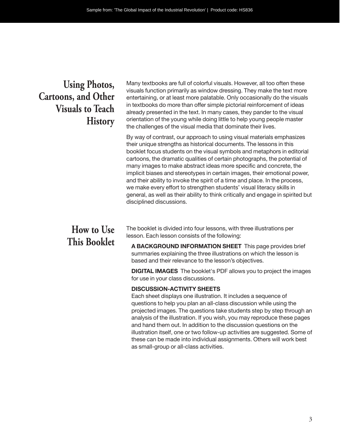### **Using Photos, Cartoons, and Other Visuals to Teach History**

Many textbooks are full of colorful visuals. However, all too often these visuals function primarily as window dressing. They make the text more entertaining, or at least more palatable. Only occasionally do the visuals in textbooks do more than offer simple pictorial reinforcement of ideas already presented in the text. In many cases, they pander to the visual orientation of the young while doing little to help young people master the challenges of the visual media that dominate their lives.

By way of contrast, our approach to using visual materials emphasizes their unique strengths as historical documents. The lessons in this booklet focus students on the visual symbols and metaphors in editorial cartoons, the dramatic qualities of certain photographs, the potential of many images to make abstract ideas more specific and concrete, the implicit biases and stereotypes in certain images, their emotional power, and their ability to invoke the spirit of a time and place. In the process, we make every effort to strengthen students' visual literacy skills in general, as well as their ability to think critically and engage in spirited but disciplined discussions.

### **How to Use This Booklet**

The booklet is divided into four lessons, with three illustrations per lesson. Each lesson consists of the following:

**A BACKGROUND INFORMATION SHEET** This page provides brief summaries explaining the three illustrations on which the lesson is based and their relevance to the lesson's objectives.

**DIGITAL IMAGES** The booklet's PDF allows you to project the images for use in your class discussions.

#### **DISCUSSION-ACTIVITY SHEETS**

Each sheet displays one illustration. It includes a sequence of questions to help you plan an all-class discussion while using the projected images. The questions take students step by step through an analysis of the illustration. If you wish, you may reproduce these pages and hand them out. In addition to the discussion questions on the illustration itself, one or two follow-up activities are suggested. Some of these can be made into individual assignments. Others will work best as small-group or all- class activities.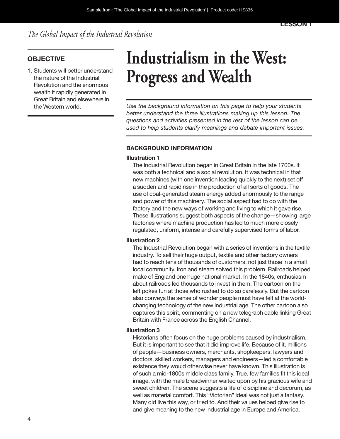*The Global Impact of the Industrial Revolution*

#### **OBJECTIVE**

1. Students will better understand the nature of the Industrial Revolution and the enormous wealth it rapidly generated in Great Britain and elsewhere in

## **Industrialism in the West: Progress and Wealth**

the Western world. *Use the background information on this page to help your students better understand the three illustrations making up this lesson. The questions and activities presented in the rest of the lesson can be used to help students clarify meanings and debate important issues.*

#### **BACKGROUND INFORMATION**

#### **Illustration 1**

The Industrial Revolution began in Great Britain in the late 1700s. It was both a technical and a social revolution. It was technical in that new machines (with one invention leading quickly to the next) set off a sudden and rapid rise in the production of all sorts of goods. The use of coal-generated steam energy added enormously to the range and power of this machinery. The social aspect had to do with the factory and the new ways of working and living to which it gave rise. These illustrations suggest both aspects of the change—showing large factories where machine production has led to much more closely regulated, uniform, intense and carefully supervised forms of labor.

#### **Illustration 2**

The Industrial Revolution began with a series of inventions in the textile industry. To sell their huge output, textile and other factory owners had to reach tens of thousands of customers, not just those in a small local community. Iron and steam solved this problem. Railroads helped make of England one huge national market. In the 1840s, enthusiasm about railroads led thousands to invest in them. The cartoon on the left pokes fun at those who rushed to do so carelessly. But the cartoon also conveys the sense of wonder people must have felt at the worldchanging technology of the new industrial age. The other cartoon also captures this spirit, commenting on a new telegraph cable linking Great Britain with France across the English Channel.

#### **Illustration 3**

Historians often focus on the huge problems caused by industrialism. But it is important to see that it did improve life. Because of it, millions of people—business owners, merchants, shopkeepers, lawyers and doctors, skilled workers, managers and engineers—led a comfortable existence they would otherwise never have known. This illustration is of such a mid-1800s middle class family. True, few families fit this ideal image, with the male breadwinner waited upon by his gracious wife and sweet children. The scene suggests a life of discipline and decorum, as well as material comfort. This "Victorian" ideal was not just a fantasy. Many did live this way, or tried to. And their values helped give rise to and give meaning to the new industrial age in Europe and America.